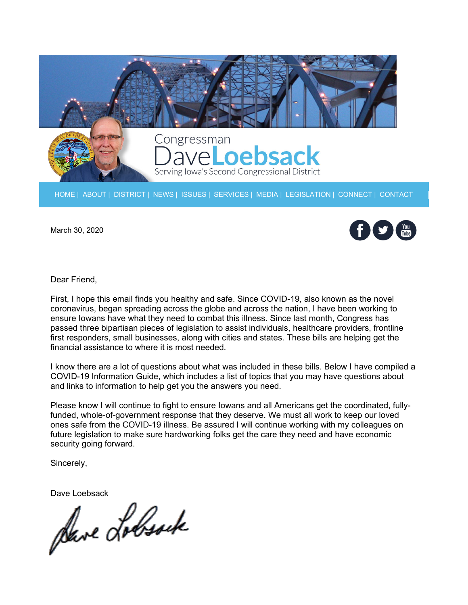

[HOME](https://loebsack.house.gov/components/redirect/r.aspx?ID=469996-70846675) | [ABOUT](https://loebsack.house.gov/components/redirect/r.aspx?ID=469997-70846675) | [DISTRICT](https://loebsack.house.gov/components/redirect/r.aspx?ID=469998-70846675) | [NEWS](https://loebsack.house.gov/components/redirect/r.aspx?ID=469999-70846675) | [ISSUES](https://loebsack.house.gov/components/redirect/r.aspx?ID=470000-70846675) | [SERVICES](https://loebsack.house.gov/components/redirect/r.aspx?ID=470001-70846675) | [MEDIA](https://loebsack.house.gov/components/redirect/r.aspx?ID=470002-70846675) | [LEGISLATION](https://loebsack.house.gov/components/redirect/r.aspx?ID=470003-70846675) | [CONNECT](https://loebsack.house.gov/components/redirect/r.aspx?ID=470004-70846675) | [CONTACT](https://loebsack.house.gov/components/redirect/r.aspx?ID=470005-70846675)

March 30, 2020



Dear Friend,

First, I hope this email finds you healthy and safe. Since COVID-19, also known as the novel coronavirus, began spreading across the globe and across the nation, I have been working to ensure Iowans have what they need to combat this illness. Since last month, Congress has passed three bipartisan pieces of legislation to assist individuals, healthcare providers, frontline first responders, small businesses, along with cities and states. These bills are helping get the financial assistance to where it is most needed.

I know there are a lot of questions about what was included in these bills. Below I have compiled a COVID-19 Information Guide, which includes a list of topics that you may have questions about and links to information to help get you the answers you need.

Please know I will continue to fight to ensure Iowans and all Americans get the coordinated, fullyfunded, whole-of-government response that they deserve. We must all work to keep our loved ones safe from the COVID-19 illness. Be assured I will continue working with my colleagues on future legislation to make sure hardworking folks get the care they need and have economic security going forward.

Sincerely,

Dave Loebsack<br>Save Lolbsock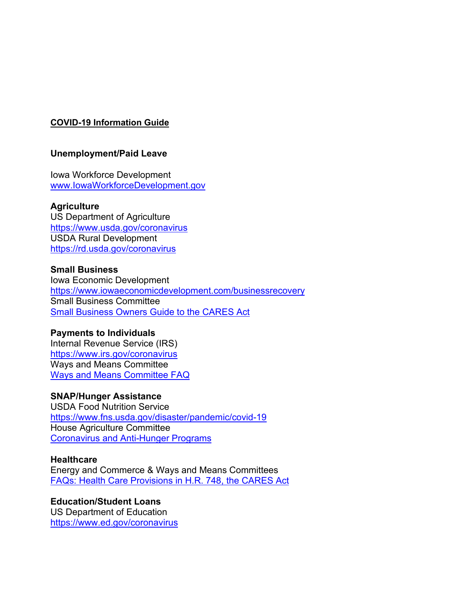# **COVID-19 Information Guide**

## **Unemployment/Paid Leave**

Iowa Workforce Development [www.IowaWorkforceDevelopment.gov](https://loebsack.house.gov/components/redirect/r.aspx?ID=470009-70846675)

#### **Agriculture**

US Department of Agriculture [https://www.usda.gov/coronavirus](https://loebsack.house.gov/components/redirect/r.aspx?ID=470010-70846675) USDA Rural Development [https://rd.usda.gov/coronavirus](https://loebsack.house.gov/components/redirect/r.aspx?ID=470011-70846675)

#### **Small Business**

Iowa Economic Development [https://www.iowaeconomicdevelopment.com/businessrecovery](https://loebsack.house.gov/components/redirect/r.aspx?ID=470012-70846675) Small Business Committee [Small Business Owners Guide to the CARES Act](https://loebsack.house.gov/components/redirect/r.aspx?ID=470013-70846675)

## **Payments to Individuals**

Internal Revenue Service (IRS) [https://www.irs.gov/coronavirus](https://loebsack.house.gov/components/redirect/r.aspx?ID=470014-70846675) Ways and Means Committee [Ways and Means Committee FAQ](https://loebsack.house.gov/components/redirect/r.aspx?ID=470015-70846675)

## **SNAP/Hunger Assistance**

USDA Food Nutrition Service [https://www.fns.usda.gov/disaster/pandemic/covid-19](https://loebsack.house.gov/components/redirect/r.aspx?ID=470016-70846675) House Agriculture Committee [Coronavirus and Anti-Hunger Programs](https://loebsack.house.gov/components/redirect/r.aspx?ID=470017-70846675)

#### **Healthcare**

Energy and Commerce & Ways and Means Committees [FAQs: Health Care Provisions in H.R. 748, the CARES Act](https://loebsack.house.gov/components/redirect/r.aspx?ID=470018-70846675)

#### **Education/Student Loans** US Department of Education [https://www.ed.gov/coronavirus](https://loebsack.house.gov/components/redirect/r.aspx?ID=470019-70846675)